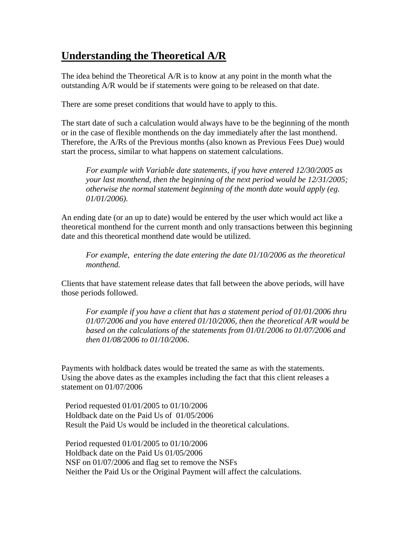## **Understanding the Theoretical A/R**

The idea behind the Theoretical A/R is to know at any point in the month what the outstanding A/R would be if statements were going to be released on that date.

There are some preset conditions that would have to apply to this.

The start date of such a calculation would always have to be the beginning of the month or in the case of flexible monthends on the day immediately after the last monthend. Therefore, the A/Rs of the Previous months (also known as Previous Fees Due) would start the process, similar to what happens on statement calculations.

 *For example with Variable date statements, if you have entered 12/30/2005 as your last monthend, then the beginning of the next period would be 12/31/2005; otherwise the normal statement beginning of the month date would apply (eg. 01/01/2006).* 

An ending date (or an up to date) would be entered by the user which would act like a theoretical monthend for the current month and only transactions between this beginning date and this theoretical monthend date would be utilized.

 *For example, entering the date entering the date 01/10/2006 as the theoretical monthend.* 

Clients that have statement release dates that fall between the above periods, will have those periods followed.

 *For example if you have a client that has a statement period of 01/01/2006 thru 01/07/2006 and you have entered 01/10/2006, then the theoretical A/R would be based on the calculations of the statements from 01/01/2006 to 01/07/2006 and then 01/08/2006 to 01/10/2006*.

Payments with holdback dates would be treated the same as with the statements. Using the above dates as the examples including the fact that this client releases a statement on 01/07/2006

 Period requested 01/01/2005 to 01/10/2006 Holdback date on the Paid Us of 01/05/2006 Result the Paid Us would be included in the theoretical calculations.

 Period requested 01/01/2005 to 01/10/2006 Holdback date on the Paid Us 01/05/2006 NSF on 01/07/2006 and flag set to remove the NSFs Neither the Paid Us or the Original Payment will affect the calculations.